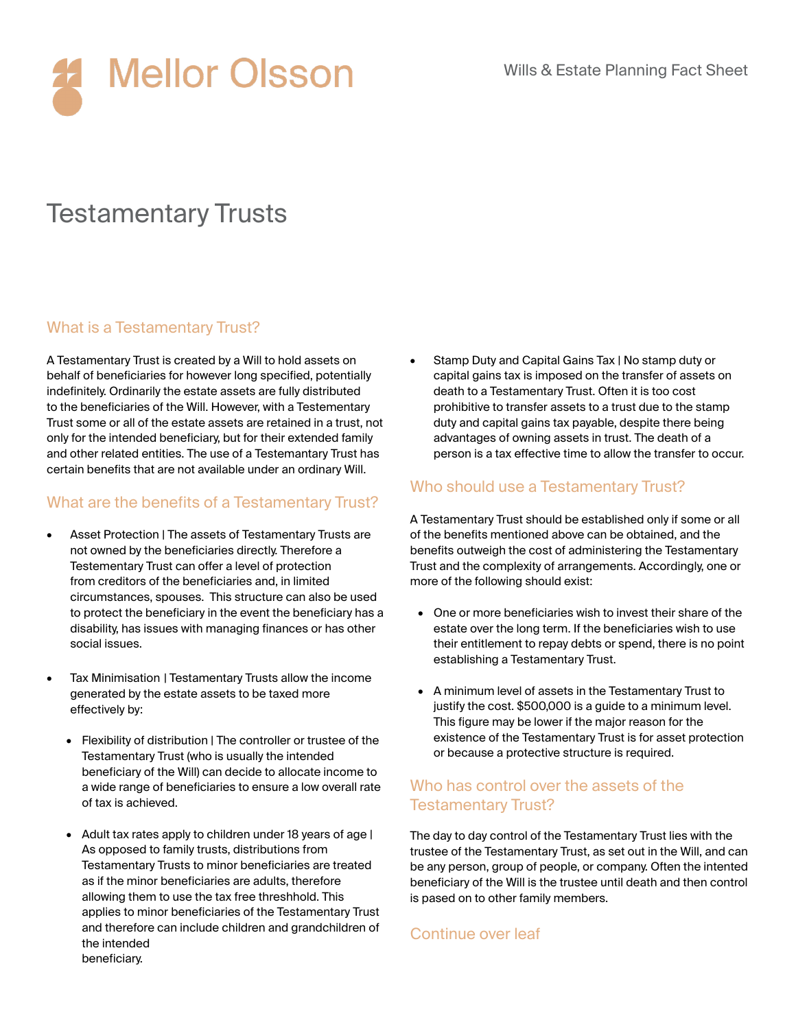

# Testamentary Trusts

## What is a Testamentary Trust?

A Testamentary Trust is created by a Will to hold assets on behalf of beneficiaries for however long specified, potentially indefinitely. Ordinarily the estate assets are fully distributed to the beneficiaries of the Will. However, with a Testementary Trust some or all of the estate assets are retained in a trust, not only for the intended beneficiary, but for their extended family and other related entities. The use of a Testemantary Trust has certain benefits that are not available under an ordinary Will.

## What are the benefits of a Testamentary Trust?

- Asset Protection | The assets of Testamentary Trusts are not owned by the beneficiaries directly. Therefore a Testementary Trust can offer a level of protection from creditors of the beneficiaries and, in limited circumstances, spouses. This structure can also be used to protect the beneficiary in the event the beneficiary has a disability, has issues with managing finances or has other social issues.
- Tax Minimisation | Testamentary Trusts allow the income generated by the estate assets to be taxed more effectively by:
	- Flexibility of distribution | The controller or trustee of the Testamentary Trust (who is usually the intended beneficiary of the Will) can decide to allocate income to a wide range of beneficiaries to ensure a low overall rate of tax is achieved.
	- Adult tax rates apply to children under 18 years of age | As opposed to family trusts, distributions from Testamentary Trusts to minor beneficiaries are treated as if the minor beneficiaries are adults, therefore allowing them to use the tax free threshhold. This applies to minor beneficiaries of the Testamentary Trust and therefore can include children and grandchildren of the intended beneficiary.

• Stamp Duty and Capital Gains Tax | No stamp duty or capital gains tax is imposed on the transfer of assets on death to a Testamentary Trust. Often it is too cost prohibitive to transfer assets to a trust due to the stamp duty and capital gains tax payable, despite there being advantages of owning assets in trust. The death of a person is a tax effective time to allow the transfer to occur.

## Who should use a Testamentary Trust?

A Testamentary Trust should be established only if some or all of the benefits mentioned above can be obtained, and the benefits outweigh the cost of administering the Testamentary Trust and the complexity of arrangements. Accordingly, one or more of the following should exist:

- One or more beneficiaries wish to invest their share of the estate over the long term. If the beneficiaries wish to use their entitlement to repay debts or spend, there is no point establishing a Testamentary Trust.
- A minimum level of assets in the Testamentary Trust to justify the cost. \$500,000 is a guide to a minimum level. This figure may be lower if the major reason for the existence of the Testamentary Trust is for asset protection or because a protective structure is required.

#### Who has control over the assets of the Testamentary Trust?

The day to day control of the Testamentary Trust lies with the trustee of the Testamentary Trust, as set out in the Will, and can be any person, group of people, or company. Often the intented beneficiary of the Will is the trustee until death and then control is pased on to other family members.

#### Continue over leaf